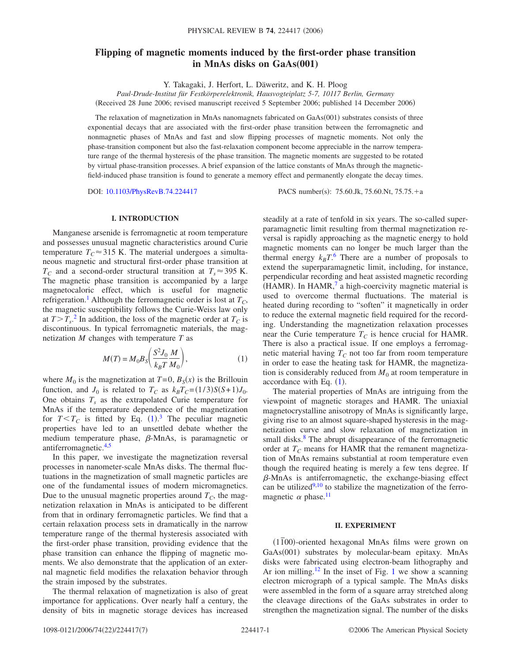# **Flipping of magnetic moments induced by the first-order phase transition in MnAs disks on GaAs(001)**

Y. Takagaki, J. Herfort, L. Däweritz, and K. H. Ploog

*Paul-Drude-Institut für Festkörperelektronik, Hausvogteiplatz 5-7, 10117 Berlin, Germany* Received 28 June 2006; revised manuscript received 5 September 2006; published 14 December 2006-

The relaxation of magnetization in MnAs nanomagnets fabricated on GaAs(001) substrates consists of three exponential decays that are associated with the first-order phase transition between the ferromagnetic and nonmagnetic phases of MnAs and fast and slow flipping processes of magnetic moments. Not only the phase-transition component but also the fast-relaxation component become appreciable in the narrow temperature range of the thermal hysteresis of the phase transition. The magnetic moments are suggested to be rotated by virtual phase-transition processes. A brief expansion of the lattice constants of MnAs through the magneticfield-induced phase transition is found to generate a memory effect and permanently elongate the decay times.

DOI: [10.1103/PhysRevB.74.224417](http://dx.doi.org/10.1103/PhysRevB.74.224417)

PACS number(s): 75.60.Jk, 75.60.Nt, 75.75. $+a$ 

### **I. INTRODUCTION**

Manganese arsenide is ferromagnetic at room temperature and possesses unusual magnetic characteristics around Curie temperature  $T_c \approx 315$  K. The material undergoes a simultaneous magnetic and structural first-order phase transition at  $T_c$  and a second-order structural transition at  $T_s \approx 395$  K. The magnetic phase transition is accompanied by a large magnetocaloric effect, which is useful for magnetic refrigeration.<sup>1</sup> Although the ferromagnetic order is lost at  $T_c$ , the magnetic susceptibility follows the Curie-Weiss law only at  $T>T_{s}$ <sup>[2](#page-6-1)</sup>. In addition, the loss of the magnetic order at  $T_{C}$  is discontinuous. In typical ferromagnetic materials, the magnetization *M* changes with temperature *T* as

$$
M(T) = M_0 B_S \bigg( \frac{S^2 J_0}{k_B T} \frac{M}{M_0} \bigg),
$$
 (1)

<span id="page-0-0"></span>where  $M_0$  is the magnetization at  $T=0$ ,  $B_S(x)$  is the Brillouin function, and  $J_0$  is related to  $T_C$  as  $k_B T_C = (1/3)S(S+1)J_0$ . One obtains  $T<sub>s</sub>$  as the extrapolated Curie temperature for MnAs if the temperature dependence of the magnetization for  $T < T_C$  is fitted by Eq. ([1](#page-0-0)).<sup>[3](#page-6-2)</sup> The peculiar magnetic properties have led to an unsettled debate whether the medium temperature phase,  $\beta$ -MnAs, is paramagnetic or antiferromagnetic[.4,](#page-6-3)[5](#page-6-4)

In this paper, we investigate the magnetization reversal processes in nanometer-scale MnAs disks. The thermal fluctuations in the magnetization of small magnetic particles are one of the fundamental issues of modern micromagnetics. Due to the unusual magnetic properties around  $T_c$ , the magnetization relaxation in MnAs is anticipated to be different from that in ordinary ferromagnetic particles. We find that a certain relaxation process sets in dramatically in the narrow temperature range of the thermal hysteresis associated with the first-order phase transition, providing evidence that the phase transition can enhance the flipping of magnetic moments. We also demonstrate that the application of an external magnetic field modifies the relaxation behavior through the strain imposed by the substrates.

The thermal relaxation of magnetization is also of great importance for applications. Over nearly half a century, the density of bits in magnetic storage devices has increased steadily at a rate of tenfold in six years. The so-called superparamagnetic limit resulting from thermal magnetization reversal is rapidly approaching as the magnetic energy to hold magnetic moments can no longer be much larger than the thermal energy  $k_B T$ .<sup>[6](#page-6-5)</sup> There are a number of proposals to extend the superparamagnetic limit, including, for instance, perpendicular recording and heat assisted magnetic recording (HAMR). In HAMR, $7$  a high-coercivity magnetic material is used to overcome thermal fluctuations. The material is heated during recording to "soften" it magnetically in order to reduce the external magnetic field required for the recording. Understanding the magnetization relaxation processes near the Curie temperature  $T_c$  is hence crucial for HAMR. There is also a practical issue. If one employs a ferromagnetic material having  $T_c$  not too far from room temperature in order to ease the heating task for HAMR, the magnetization is considerably reduced from  $M_0$  at room temperature in accordance with Eq.  $(1)$  $(1)$  $(1)$ .

The material properties of MnAs are intriguing from the viewpoint of magnetic storages and HAMR. The uniaxial magnetocrystalline anisotropy of MnAs is significantly large, giving rise to an almost square-shaped hysteresis in the magnetization curve and slow relaxation of magnetization in small disks.<sup>8</sup> The abrupt disappearance of the ferromagnetic order at  $T_c$  means for HAMR that the remanent magnetization of MnAs remains substantial at room temperature even though the required heating is merely a few tens degree. If  $\beta$ -MnAs is antiferromagnetic, the exchange-biasing effect can be utilized $9,10$  $9,10$  to stabilize the magnetization of the ferromagnetic  $\alpha$  phase.<sup>11</sup>

#### **II. EXPERIMENT**

11*¯*00--oriented hexagonal MnAs films were grown on GaAs(001) substrates by molecular-beam epitaxy. MnAs disks were fabricated using electron-beam lithography and Ar ion milling.<sup>[1](#page-1-0)2</sup> In the inset of Fig. 1 we show a scanning electron micrograph of a typical sample. The MnAs disks were assembled in the form of a square array stretched along the cleavage directions of the GaAs substrates in order to strengthen the magnetization signal. The number of the disks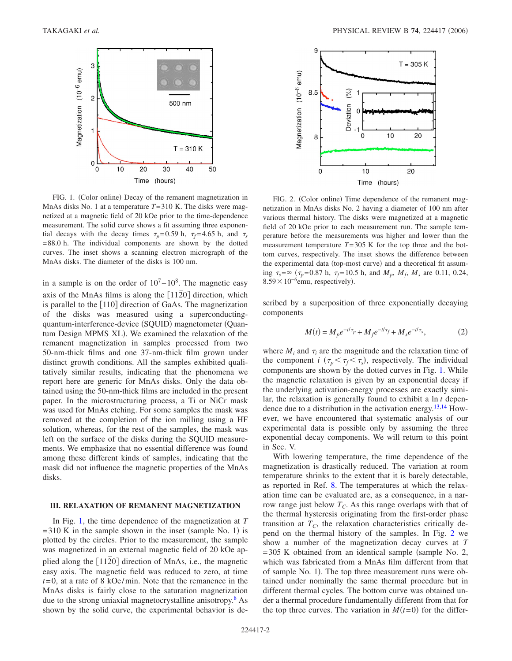<span id="page-1-0"></span>

FIG. 1. (Color online) Decay of the remanent magnetization in MnAs disks No. 1 at a temperature *T*=310 K. The disks were magnetized at a magnetic field of 20 kOe prior to the time-dependence measurement. The solid curve shows a fit assuming three exponential decays with the decay times  $\tau_p$ =0.59 h,  $\tau_f$ =4.65 h, and  $\tau_s$ =88.0 h. The individual components are shown by the dotted curves. The inset shows a scanning electron micrograph of the MnAs disks. The diameter of the disks is 100 nm.

in a sample is on the order of  $10<sup>7</sup> - 10<sup>8</sup>$ . The magnetic easy axis of the MnAs films is along the [1120] direction, which is parallel to the  $[110]$  direction of GaAs. The magnetization of the disks was measured using a superconductingquantum-interference-device (SQUID) magnetometer (Quantum Design MPMS XL). We examined the relaxation of the remanent magnetization in samples processed from two 50-nm-thick films and one 37-nm-thick film grown under distinct growth conditions. All the samples exhibited qualitatively similar results, indicating that the phenomena we report here are generic for MnAs disks. Only the data obtained using the 50-nm-thick films are included in the present paper. In the microstructuring process, a Ti or NiCr mask was used for MnAs etching. For some samples the mask was removed at the completion of the ion milling using a HF solution, whereas, for the rest of the samples, the mask was left on the surface of the disks during the SQUID measurements. We emphasize that no essential difference was found among these different kinds of samples, indicating that the mask did not influence the magnetic properties of the MnAs disks.

# **III. RELAXATION OF REMANENT MAGNETIZATION**

In Fig. [1,](#page-1-0) the time dependence of the magnetization at *T*  $=310$  K in the sample shown in the inset (sample No. 1) is plotted by the circles. Prior to the measurement, the sample was magnetized in an external magnetic field of 20 kOe applied along the [1120] direction of MnAs, i.e., the magnetic easy axis. The magnetic field was reduced to zero, at time *t*=0, at a rate of 8 kOe/min. Note that the remanence in the MnAs disks is fairly close to the saturation magnetization due to the strong uniaxial magnetocrystalline anisotropy.<sup>8</sup> As shown by the solid curve, the experimental behavior is de-

<span id="page-1-1"></span>

FIG. 2. (Color online) Time dependence of the remanent magnetization in MnAs disks No. 2 having a diameter of 100 nm after various thermal history. The disks were magnetized at a magnetic field of 20 kOe prior to each measurement run. The sample temperature before the measurements was higher and lower than the measurement temperature  $T=305$  K for the top three and the bottom curves, respectively. The inset shows the difference between the experimental data (top-most curve) and a theoretical fit assuming  $\tau_s = \infty$  ( $\tau_p = 0.87$  h,  $\tau_f = 10.5$  h, and  $M_p$ ,  $M_f$ ,  $M_s$  are 0.11, 0.24,  $8.59 \times 10^{-6}$ emu, respectively).

scribed by a superposition of three exponentially decaying components

$$
M(t) = M_p e^{-t/\tau_p} + M_f e^{-t/\tau_f} + M_s e^{-t/\tau_s},
$$
 (2)

<span id="page-1-2"></span>where  $M_i$  and  $\tau_i$  are the magnitude and the relaxation time of the component *i* ( $\tau_p < \tau_f < \tau_s$ ), respectively. The individual components are shown by the dotted curves in Fig. [1.](#page-1-0) While the magnetic relaxation is given by an exponential decay if the underlying activation-energy processes are exactly similar, the relaxation is generally found to exhibit a ln *t* depen-dence due to a distribution in the activation energy.<sup>13,[14](#page-6-13)</sup> However, we have encountered that systematic analysis of our experimental data is possible only by assuming the three exponential decay components. We will return to this point in Sec. V.

With lowering temperature, the time dependence of the magnetization is drastically reduced. The variation at room temperature shrinks to the extent that it is barely detectable, as reported in Ref. [8.](#page-6-7) The temperatures at which the relaxation time can be evaluated are, as a consequence, in a narrow range just below  $T_C$ . As this range overlaps with that of the thermal hysteresis originating from the first-order phase transition at  $T_c$ , the relaxation characteristics critically depend on the thermal history of the samples. In Fig. [2](#page-1-1) we show a number of the magnetization decay curves at *T*  $=305$  K obtained from an identical sample (sample No. 2, which was fabricated from a MnAs film different from that of sample No. 1). The top three measurement runs were obtained under nominally the same thermal procedure but in different thermal cycles. The bottom curve was obtained under a thermal procedure fundamentally different from that for the top three curves. The variation in  $M(t=0)$  for the differ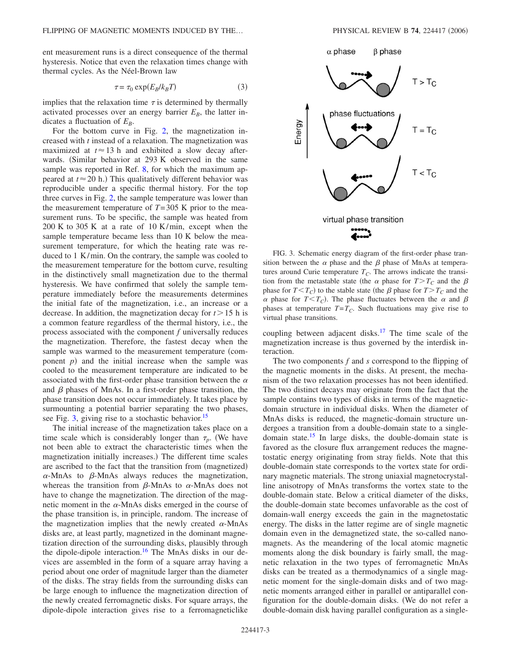ent measurement runs is a direct consequence of the thermal hysteresis. Notice that even the relaxation times change with thermal cycles. As the Néel-Brown law

$$
\tau = \tau_0 \exp(E_B / k_B T) \tag{3}
$$

<span id="page-2-1"></span>implies that the relaxation time  $\tau$  is determined by thermally activated processes over an energy barrier  $E_B$ , the latter indicates a fluctuation of  $E_B$ .

For the bottom curve in Fig. [2,](#page-1-1) the magnetization increased with *t* instead of a relaxation. The magnetization was maximized at  $t \approx 13$  h and exhibited a slow decay afterwards. (Similar behavior at 293 K observed in the same sample was reported in Ref. [8,](#page-6-7) for which the maximum appeared at  $t \approx 20$  h.) This qualitatively different behavior was reproducible under a specific thermal history. For the top three curves in Fig. [2,](#page-1-1) the sample temperature was lower than the measurement temperature of  $T=305$  K prior to the measurement runs. To be specific, the sample was heated from 200 K to 305 K at a rate of 10 K/min, except when the sample temperature became less than 10 K below the measurement temperature, for which the heating rate was reduced to 1 K/min. On the contrary, the sample was cooled to the measurement temperature for the bottom curve, resulting in the distinctively small magnetization due to the thermal hysteresis. We have confirmed that solely the sample temperature immediately before the measurements determines the initial fate of the magnetization, i.e., an increase or a decrease. In addition, the magnetization decay for  $t > 15$  h is a common feature regardless of the thermal history, i.e., the process associated with the component *f* universally reduces the magnetization. Therefore, the fastest decay when the sample was warmed to the measurement temperature (component  $p$ ) and the initial increase when the sample was cooled to the measurement temperature are indicated to be associated with the first-order phase transition between the  $\alpha$ and  $\beta$  phases of MnAs. In a first-order phase transition, the phase transition does not occur immediately. It takes place by surmounting a potential barrier separating the two phases, see Fig. [3,](#page-2-0) giving rise to a stochastic behavior.<sup>15</sup>

The initial increase of the magnetization takes place on a time scale which is considerably longer than  $\tau_p$ . (We have not been able to extract the characteristic times when the magnetization initially increases.) The different time scales are ascribed to the fact that the transition from (magnetized)  $\alpha$ -MnAs to  $\beta$ -MnAs always reduces the magnetization, whereas the transition from  $\beta$ -MnAs to  $\alpha$ -MnAs does not have to change the magnetization. The direction of the magnetic moment in the  $\alpha$ -MnAs disks emerged in the course of the phase transition is, in principle, random. The increase of the magnetization implies that the newly created  $\alpha$ -MnAs disks are, at least partly, magnetized in the dominant magnetization direction of the surrounding disks, plausibly through the dipole-dipole interaction.<sup>16</sup> The MnAs disks in our devices are assembled in the form of a square array having a period about one order of magnitude larger than the diameter of the disks. The stray fields from the surrounding disks can be large enough to influence the magnetization direction of the newly created ferromagnetic disks. For square arrays, the dipole-dipole interaction gives rise to a ferromagneticlike

<span id="page-2-0"></span>



FIG. 3. Schematic energy diagram of the first-order phase transition between the  $\alpha$  phase and the  $\beta$  phase of MnAs at temperatures around Curie temperature  $T_C$ . The arrows indicate the transition from the metastable state (the  $\alpha$  phase for  $T>T_C$  and the  $\beta$ phase for  $T < T_C$ ) to the stable state (the  $\beta$  phase for  $T > T_C$  and the  $\alpha$  phase for  $T < T_C$ ). The phase fluctuates between the  $\alpha$  and  $\beta$ phases at temperature  $T=T_C$ . Such fluctuations may give rise to virtual phase transitions.

coupling between adjacent disks[.17](#page-6-16) The time scale of the magnetization increase is thus governed by the interdisk interaction.

The two components *f* and *s* correspond to the flipping of the magnetic moments in the disks. At present, the mechanism of the two relaxation processes has not been identified. The two distinct decays may originate from the fact that the sample contains two types of disks in terms of the magneticdomain structure in individual disks. When the diameter of MnAs disks is reduced, the magnetic-domain structure undergoes a transition from a double-domain state to a singledomain state.<sup>15</sup> In large disks, the double-domain state is favored as the closure flux arrangement reduces the magnetostatic energy originating from stray fields. Note that this double-domain state corresponds to the vortex state for ordinary magnetic materials. The strong uniaxial magnetocrystalline anisotropy of MnAs transforms the vortex state to the double-domain state. Below a critical diameter of the disks, the double-domain state becomes unfavorable as the cost of domain-wall energy exceeds the gain in the magnetostatic energy. The disks in the latter regime are of single magnetic domain even in the demagnetized state, the so-called nanomagnets. As the meandering of the local atomic magnetic moments along the disk boundary is fairly small, the magnetic relaxation in the two types of ferromagnetic MnAs disks can be treated as a thermodynamics of a single magnetic moment for the single-domain disks and of two magnetic moments arranged either in parallel or antiparallel configuration for the double-domain disks. We do not refer a double-domain disk having parallel configuration as a single-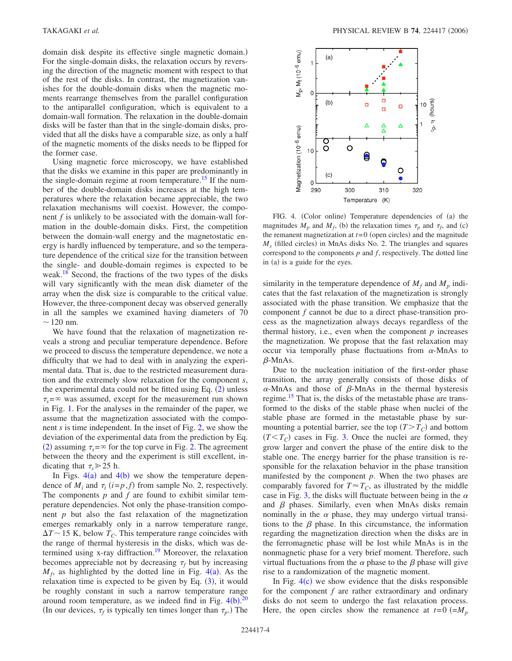domain disk despite its effective single magnetic domain.) For the single-domain disks, the relaxation occurs by reversing the direction of the magnetic moment with respect to that of the rest of the disks. In contrast, the magnetization vanishes for the double-domain disks when the magnetic moments rearrange themselves from the parallel configuration to the antiparallel configuration, which is equivalent to a domain-wall formation. The relaxation in the double-domain disks will be faster than that in the single-domain disks, provided that all the disks have a comparable size, as only a half of the magnetic moments of the disks needs to be flipped for the former case.

Using magnetic force microscopy, we have established that the disks we examine in this paper are predominantly in the single-domain regime at room temperature.<sup>15</sup> If the number of the double-domain disks increases at the high temperatures where the relaxation became appreciable, the two relaxation mechanisms will coexist. However, the component *f* is unlikely to be associated with the domain-wall formation in the double-domain disks. First, the competition between the domain-wall energy and the magnetostatic energy is hardly influenced by temperature, and so the temperature dependence of the critical size for the transition between the single- and double-domain regimes is expected to be weak.<sup>18</sup> Second, the fractions of the two types of the disks will vary significantly with the mean disk diameter of the array when the disk size is comparable to the critical value. However, the three-component decay was observed generally in all the samples we examined having diameters of 70  $\sim$  120 nm.

We have found that the relaxation of magnetization reveals a strong and peculiar temperature dependence. Before we proceed to discuss the temperature dependence, we note a difficulty that we had to deal with in analyzing the experimental data. That is, due to the restricted measurement duration and the extremely slow relaxation for the component *s*, the experimental data could not be fitted using Eq.  $(2)$  $(2)$  $(2)$  unless  $\tau_s = \infty$  was assumed, except for the measurement run shown in Fig. [1.](#page-1-0) For the analyses in the remainder of the paper, we assume that the magnetization associated with the component *s* is time independent. In the inset of Fig. [2,](#page-1-1) we show the deviation of the experimental data from the prediction by Eq. ([2](#page-1-2)) assuming  $\tau_s = \infty$  for the top curve in Fig. [2.](#page-1-1) The agreement between the theory and the experiment is still excellent, indicating that  $\tau_s \geq 25$  h.

In Figs.  $4(a)$  $4(a)$  and  $4(b)$  we show the temperature dependence of  $M_i$  and  $\tau_i$  ( $i=p$ ,  $f$ ) from sample No. 2, respectively. The components *p* and *f* are found to exhibit similar temperature dependencies. Not only the phase-transition component *p* but also the fast relaxation of the magnetization emerges remarkably only in a narrow temperature range,  $\Delta T \sim 15$  K, below  $T_C$ . This temperature range coincides with the range of thermal hysteresis in the disks, which was determined using x-ray diffraction.<sup>19</sup> Moreover, the relaxation becomes appreciable not by decreasing  $\tau_f$  but by increasing  $M_f$ , as highlighted by the dotted line in Fig. [4](#page-3-0)(a). As the relaxation time is expected to be given by Eq.  $(3)$  $(3)$  $(3)$ , it would be roughly constant in such a narrow temperature range around room temperature, as we indeed find in Fig.  $4(b)$  $4(b)$ .<sup>[20](#page-6-19)</sup> (In our devices,  $\tau_f$  is typically ten times longer than  $\tau_p$ .) The

<span id="page-3-0"></span>

FIG. 4. (Color online) Temperature dependencies of (a) the magnitudes  $M_p$  and  $M_f$ , (b) the relaxation times  $\tau_p$  and  $\tau_f$ , and (c) the remanent magnetization at  $t=0$  (open circles) and the magnitude  $M_s$  (filled circles) in MnAs disks No. 2. The triangles and squares correspond to the components  $p$  and  $f$ , respectively. The dotted line in (a) is a guide for the eyes.

similarity in the temperature dependence of  $M_f$  and  $M_p$  indicates that the fast relaxation of the magnetization is strongly associated with the phase transition. We emphasize that the component *f* cannot be due to a direct phase-transition process as the magnetization always decays regardless of the thermal history, i.e., even when the component *p* increases the magnetization. We propose that the fast relaxation may occur via temporally phase fluctuations from  $\alpha$ -MnAs to  $\beta$ -MnAs.

Due to the nucleation initiation of the first-order phase transition, the array generally consists of those disks of  $\alpha$ -MnAs and those of  $\beta$ -MnAs in the thermal hysteresis regime.<sup>15</sup> That is, the disks of the metastable phase are transformed to the disks of the stable phase when nuclei of the stable phase are formed in the metastable phase by surmounting a potential barrier, see the top  $(T > T_C)$  and bottom  $(T < T_C)$  cases in Fig. [3.](#page-2-0) Once the nuclei are formed, they grow larger and convert the phase of the entire disk to the stable one. The energy barrier for the phase transition is responsible for the relaxation behavior in the phase transition manifested by the component *p*. When the two phases are comparably favored for  $T \approx T_C$ , as illustrated by the middle case in Fig. [3,](#page-2-0) the disks will fluctuate between being in the  $\alpha$ and  $\beta$  phases. Similarly, even when MnAs disks remain nominally in the  $\alpha$  phase, they may undergo virtual transitions to the  $\beta$  phase. In this circumstance, the information regarding the magnetization direction when the disks are in the ferromagnetic phase will be lost while MnAs is in the nonmagnetic phase for a very brief moment. Therefore, such virtual fluctuations from the  $\alpha$  phase to the  $\beta$  phase will give rise to a randomization of the magnetic moment.

In Fig.  $4(c)$  $4(c)$  we show evidence that the disks responsible for the component *f* are rather extraordinary and ordinary disks do not seem to undergo the fast relaxation process. Here, the open circles show the remanence at  $t=0$  ( $=M_p$ )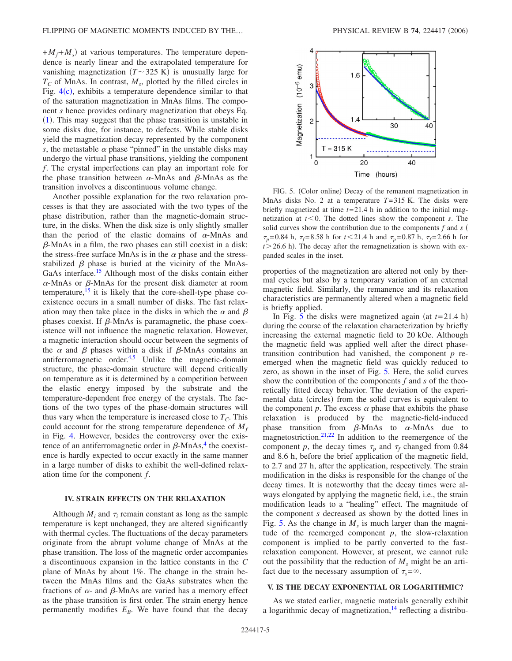$+M_f + M_s$ ) at various temperatures. The temperature dependence is nearly linear and the extrapolated temperature for vanishing magnetization  $(T \sim 325 \text{ K})$  is unusually large for  $T_c$  of MnAs. In contrast,  $M_s$ , plotted by the filled circles in Fig.  $4(c)$  $4(c)$ , exhibits a temperature dependence similar to that of the saturation magnetization in MnAs films. The component *s* hence provides ordinary magnetization that obeys Eq.  $(1)$  $(1)$  $(1)$ . This may suggest that the phase transition is unstable in some disks due, for instance, to defects. While stable disks yield the magnetization decay represented by the component *s*, the metastable  $\alpha$  phase "pinned" in the unstable disks may undergo the virtual phase transitions, yielding the component *f*. The crystal imperfections can play an important role for the phase transition between  $\alpha$ -MnAs and  $\beta$ -MnAs as the transition involves a discontinuous volume change.

Another possible explanation for the two relaxation processes is that they are associated with the two types of the phase distribution, rather than the magnetic-domain structure, in the disks. When the disk size is only slightly smaller than the period of the elastic domains of  $\alpha$ -MnAs and  $\beta$ -MnAs in a film, the two phases can still coexist in a disk: the stress-free surface MnAs is in the  $\alpha$  phase and the stressstabilized  $\beta$  phase is buried at the vicinity of the MnAs-GaAs interface.<sup>15</sup> Although most of the disks contain either  $\alpha$ -MnAs or  $\beta$ -MnAs for the present disk diameter at room temperature,  $15$  it is likely that the core-shell-type phase coexistence occurs in a small number of disks. The fast relaxation may then take place in the disks in which the  $\alpha$  and  $\beta$ phases coexist. If  $\beta$ -MnAs is paramagnetic, the phase coexistence will not influence the magnetic relaxation. However, a magnetic interaction should occur between the segments of the  $\alpha$  and  $\beta$  phases within a disk if  $\beta$ -MnAs contains an antiferromagnetic order.<sup>4,[5](#page-6-4)</sup> Unlike the magnetic-domain structure, the phase-domain structure will depend critically on temperature as it is determined by a competition between the elastic energy imposed by the substrate and the temperature-dependent free energy of the crystals. The factions of the two types of the phase-domain structures will thus vary when the temperature is increased close to  $T_c$ . This could account for the strong temperature dependence of  $M_f$ in Fig. [4.](#page-3-0) However, besides the controversy over the existence of an antiferromagnetic order in  $\beta$ -MnAs,<sup>4</sup> the coexistence is hardly expected to occur exactly in the same manner in a large number of disks to exhibit the well-defined relaxation time for the component *f*.

## **IV. STRAIN EFFECTS ON THE RELAXATION**

Although  $M_i$  and  $\tau_i$  remain constant as long as the sample temperature is kept unchanged, they are altered significantly with thermal cycles. The fluctuations of the decay parameters originate from the abrupt volume change of MnAs at the phase transition. The loss of the magnetic order accompanies a discontinuous expansion in the lattice constants in the *C* plane of MnAs by about 1%. The change in the strain between the MnAs films and the GaAs substrates when the fractions of  $\alpha$ - and  $\beta$ -MnAs are varied has a memory effect as the phase transition is first order. The strain energy hence permanently modifies  $E_B$ . We have found that the decay

<span id="page-4-0"></span>

FIG. 5. (Color online) Decay of the remanent magnetization in MnAs disks No. 2 at a temperature *T*=315 K. The disks were briefly magnetized at time *t*=21.4 h in addition to the initial magnetization at  $t < 0$ . The dotted lines show the component *s*. The solid curves show the contribution due to the components  $f$  and  $s$  (  $\tau_p$ =0.84 h,  $\tau_f$ =8.58 h for *t*<21.4 h and  $\tau_p$ =0.87 h,  $\tau_f$ =2.66 h for  $t$   $>$  26.6 h). The decay after the remagnetization is shown with expanded scales in the inset.

properties of the magnetization are altered not only by thermal cycles but also by a temporary variation of an external magnetic field. Similarly, the remanence and its relaxation characteristics are permanently altered when a magnetic field is briefly applied.

In Fig. [5](#page-4-0) the disks were magnetized again (at  $t=21.4$  h) during the course of the relaxation characterization by briefly increasing the external magnetic field to 20 kOe. Although the magnetic field was applied well after the direct phasetransition contribution had vanished, the component *p* reemerged when the magnetic field was quickly reduced to zero, as shown in the inset of Fig. [5.](#page-4-0) Here, the solid curves show the contribution of the components *f* and *s* of the theoretically fitted decay behavior. The deviation of the experimental data (circles) from the solid curves is equivalent to the component  $p$ . The excess  $\alpha$  phase that exhibits the phase relaxation is produced by the magnetic-field-induced phase transition from  $\beta$ -MnAs to  $\alpha$ -MnAs due to magnetostriction.<sup>21,[22](#page-6-21)</sup> In addition to the reemergence of the component *p*, the decay times  $\tau_p$  and  $\tau_f$  changed from 0.84 and 8.6 h, before the brief application of the magnetic field, to 2.7 and 27 h, after the application, respectively. The strain modification in the disks is responsible for the change of the decay times. It is noteworthy that the decay times were always elongated by applying the magnetic field, i.e., the strain modification leads to a "healing" effect. The magnitude of the component *s* decreased as shown by the dotted lines in Fig. [5.](#page-4-0) As the change in  $M<sub>s</sub>$  is much larger than the magnitude of the reemerged component  $p$ , the slow-relaxation component is implied to be partly converted to the fastrelaxation component. However, at present, we cannot rule out the possibility that the reduction of  $M<sub>s</sub>$  might be an artifact due to the necessary assumption of  $\tau_s = \infty$ .

## **V. IS THE DECAY EXPONENTIAL OR LOGARITHMIC?**

As we stated earlier, magnetic materials generally exhibit a logarithmic decay of magnetization, $^{14}$  reflecting a distribu-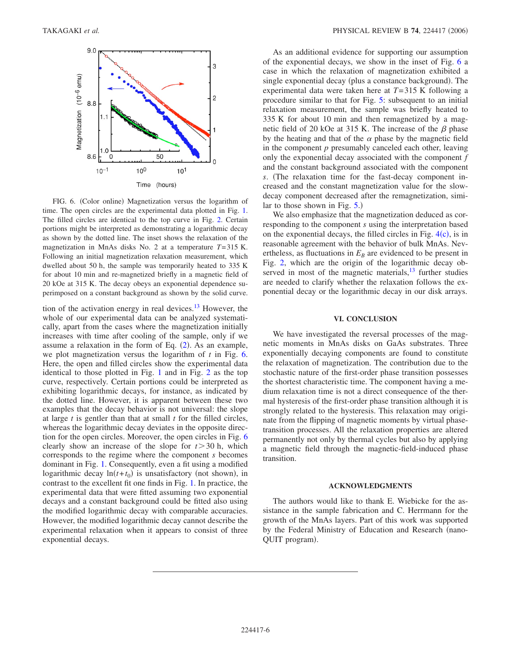<span id="page-5-0"></span>

FIG. 6. (Color online) Magnetization versus the logarithm of time. The open circles are the experimental data plotted in Fig. [1.](#page-1-0) The filled circles are identical to the top curve in Fig. [2.](#page-1-1) Certain portions might be interpreted as demonstrating a logarithmic decay as shown by the dotted line. The inset shows the relaxation of the magnetization in MnAs disks No. 2 at a temperature *T*=315 K. Following an initial magnetization relaxation measurement, which dwelled about 50 h, the sample was temporarily heated to 335 K for about 10 min and re-magnetized briefly in a magnetic field of 20 kOe at 315 K. The decay obeys an exponential dependence superimposed on a constant background as shown by the solid curve.

tion of the activation energy in real devices.<sup>13</sup> However, the whole of our experimental data can be analyzed systematically, apart from the cases where the magnetization initially increases with time after cooling of the sample, only if we assume a relaxation in the form of Eq.  $(2)$  $(2)$  $(2)$ . As an example, we plot magnetization versus the logarithm of *t* in Fig. [6.](#page-5-0) Here, the open and filled circles show the experimental data identical to those plotted in Fig. [1](#page-1-0) and in Fig. [2](#page-1-1) as the top curve, respectively. Certain portions could be interpreted as exhibiting logarithmic decays, for instance, as indicated by the dotted line. However, it is apparent between these two examples that the decay behavior is not universal: the slope at large *t* is gentler than that at small *t* for the filled circles, whereas the logarithmic decay deviates in the opposite direction for the open circles. Moreover, the open circles in Fig. [6](#page-5-0) clearly show an increase of the slope for  $t > 30$  h, which corresponds to the regime where the component *s* becomes dominant in Fig. [1.](#page-1-0) Consequently, even a fit using a modified logarithmic decay  $ln(t+t_0)$  is unsatisfactory (not shown), in contrast to the excellent fit one finds in Fig. [1.](#page-1-0) In practice, the experimental data that were fitted assuming two exponential decays and a constant background could be fitted also using the modified logarithmic decay with comparable accuracies. However, the modified logarithmic decay cannot describe the experimental relaxation when it appears to consist of three exponential decays.

As an additional evidence for supporting our assumption of the exponential decays, we show in the inset of Fig. [6](#page-5-0) a case in which the relaxation of magnetization exhibited a single exponential decay (plus a constance background). The experimental data were taken here at *T*=315 K following a procedure similar to that for Fig. [5:](#page-4-0) subsequent to an initial relaxation measurement, the sample was briefly heated to 335 K for about 10 min and then remagnetized by a magnetic field of 20 kOe at 315 K. The increase of the  $\beta$  phase by the heating and that of the  $\alpha$  phase by the magnetic field in the component *p* presumably canceled each other, leaving only the exponential decay associated with the component *f* and the constant background associated with the component *s*. The relaxation time for the fast-decay component increased and the constant magnetization value for the slowdecay component decreased after the remagnetization, similar to those shown in Fig.  $5$ .)

We also emphasize that the magnetization deduced as corresponding to the component *s* using the interpretation based on the exponential decays, the filled circles in Fig.  $4(c)$  $4(c)$ , is in reasonable agreement with the behavior of bulk MnAs. Nevertheless, as fluctuations in  $E_B$  are evidenced to be present in Fig. [2,](#page-1-1) which are the origin of the logarithmic decay observed in most of the magnetic materials,  $13$  further studies are needed to clarify whether the relaxation follows the exponential decay or the logarithmic decay in our disk arrays.

#### **VI. CONCLUSION**

We have investigated the reversal processes of the magnetic moments in MnAs disks on GaAs substrates. Three exponentially decaying components are found to constitute the relaxation of magnetization. The contribution due to the stochastic nature of the first-order phase transition possesses the shortest characteristic time. The component having a medium relaxation time is not a direct consequence of the thermal hysteresis of the first-order phase transition although it is strongly related to the hysteresis. This relaxation may originate from the flipping of magnetic moments by virtual phasetransition processes. All the relaxation properties are altered permanently not only by thermal cycles but also by applying a magnetic field through the magnetic-field-induced phase transition.

### **ACKNOWLEDGMENTS**

The authors would like to thank E. Wiebicke for the assistance in the sample fabrication and C. Herrmann for the growth of the MnAs layers. Part of this work was supported by the Federal Ministry of Education and Research (nano-QUIT program).